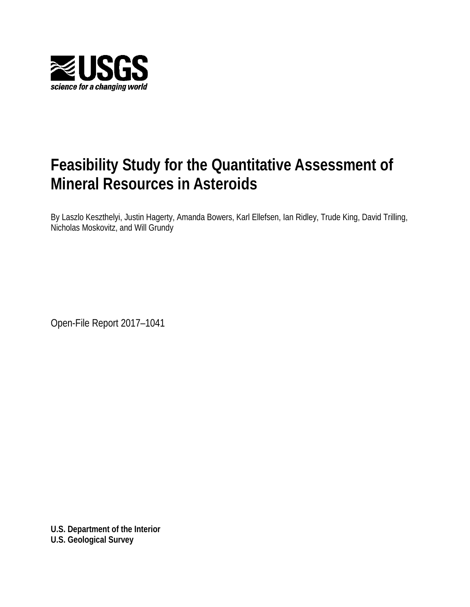

## **Feasibility Study for the Quantitative Assessment of Mineral Resources in Asteroids**

By Laszlo Keszthelyi, Justin Hagerty, Amanda Bowers, Karl Ellefsen, Ian Ridley, Trude King, David Trilling, Nicholas Moskovitz, and Will Grundy

Open-File Report 2017–1041

**U.S. Department of the Interior U.S. Geological Survey**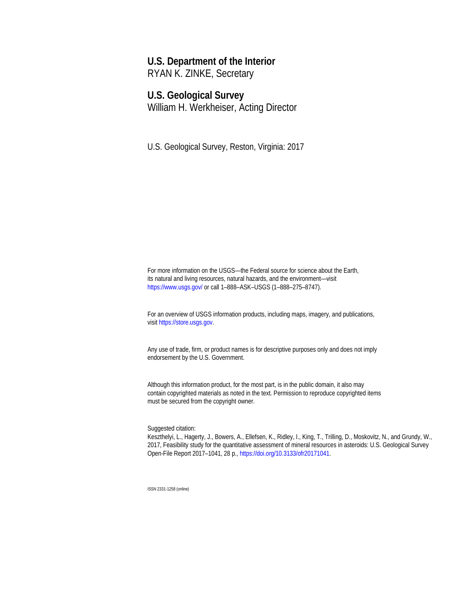## **U.S. Department of the Interior**

RYAN K. ZINKE, Secretary

### **U.S. Geological Survey**

William H. Werkheiser, Acting Director

U.S. Geological Survey, Reston, Virginia: 2017

For more information on the USGS—the Federal source for science about the Earth, its natural and living resources, natural hazards, and the environment—visit <https://www.usgs.gov/> or call 1–888–ASK–USGS (1–888–275–8747).

For an overview of USGS information products, including maps, imagery, and publications, visi[t https://store.usgs.gov.](https://store.usgs.gov/)

Any use of trade, firm, or product names is for descriptive purposes only and does not imply endorsement by the U.S. Government.

Although this information product, for the most part, is in the public domain, it also may contain copyrighted materials as noted in the text. Permission to reproduce copyrighted items must be secured from the copyright owner.

Suggested citation:

Keszthelyi, L., Hagerty, J., Bowers, A., Ellefsen, K., Ridley, I., King, T., Trilling, D., Moskovitz, N., and Grundy, W., 2017, Feasibility study for the quantitative assessment of mineral resources in asteroids: U.S. Geological Survey Open-File Report 2017–1041, 28 p.[, https://doi.org/10.3133/ofr20171041.](https://doi.org/x10.3133/ofr20171041) 

ISSN 2331-1258 (online)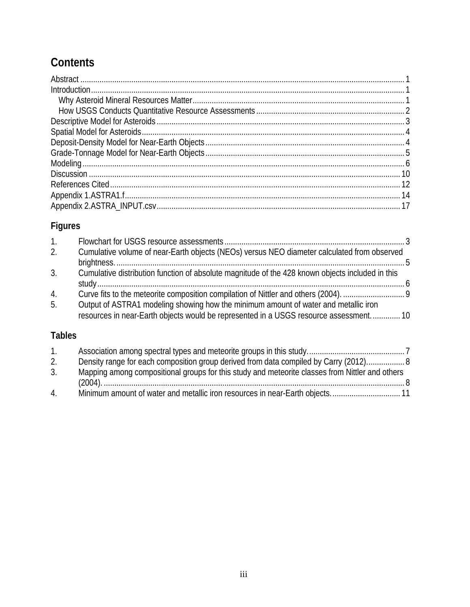## **Contents**

## **Figures**

| $1_{\cdot}$ |                                                                                                  |  |
|-------------|--------------------------------------------------------------------------------------------------|--|
| 2.          | Cumulative volume of near-Earth objects (NEOs) versus NEO diameter calculated from observed      |  |
|             |                                                                                                  |  |
| 3.          | Cumulative distribution function of absolute magnitude of the 428 known objects included in this |  |
| 4.          |                                                                                                  |  |
| 5.          | Output of ASTRA1 modeling showing how the minimum amount of water and metallic iron              |  |
|             | resources in near-Earth objects would be represented in a USGS resource assessment 10            |  |
|             |                                                                                                  |  |

## **Tables**

| $1_{1}$        |                                                                                                 |  |
|----------------|-------------------------------------------------------------------------------------------------|--|
| 2.             | Density range for each composition group derived from data compiled by Carry (2012) 8           |  |
| 3.             | Mapping among compositional groups for this study and meteorite classes from Nittler and others |  |
|                |                                                                                                 |  |
| $\overline{4}$ |                                                                                                 |  |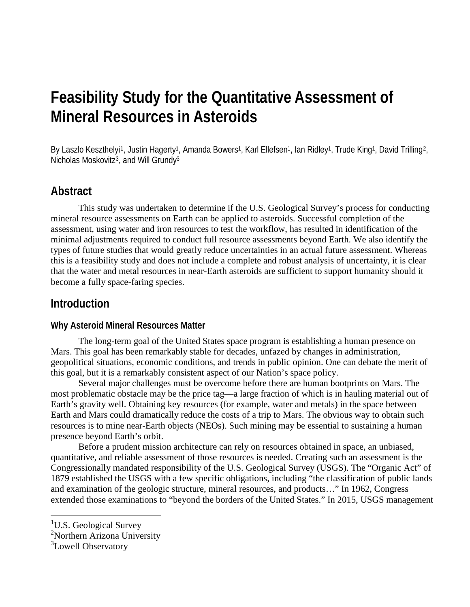## **Feasibility Study for the Quantitative Assessment of Mineral Resources in Asteroids**

By Laszlo Keszthelyi<sup>1</sup>, Justin Hagerty<sup>1</sup>, Amanda Bowers<sup>1</sup>, Karl Ellefsen<sup>1</sup>, Ian Ridley<sup>1</sup>, Trude King<sup>1</sup>, David Trilling<sup>[2](#page-3-1)</sup>, Nicholas Moskovitz<sup>3</sup>, and Will Grundy<sup>3</sup>

## **Abstract**

This study was undertaken to determine if the U.S. Geological Survey's process for conducting mineral resource assessments on Earth can be applied to asteroids. Successful completion of the assessment, using water and iron resources to test the workflow, has resulted in identification of the minimal adjustments required to conduct full resource assessments beyond Earth. We also identify the types of future studies that would greatly reduce uncertainties in an actual future assessment. Whereas this is a feasibility study and does not include a complete and robust analysis of uncertainty, it is clear that the water and metal resources in near-Earth asteroids are sufficient to support humanity should it become a fully space-faring species.

## **Introduction**

#### **Why Asteroid Mineral Resources Matter**

The long-term goal of the United States space program is establishing a human presence on Mars. This goal has been remarkably stable for decades, unfazed by changes in administration, geopolitical situations, economic conditions, and trends in public opinion. One can debate the merit of this goal, but it is a remarkably consistent aspect of our Nation's space policy.

Several major challenges must be overcome before there are human bootprints on Mars. The most problematic obstacle may be the price tag—a large fraction of which is in hauling material out of Earth's gravity well. Obtaining key resources (for example, water and metals) in the space between Earth and Mars could dramatically reduce the costs of a trip to Mars. The obvious way to obtain such resources is to mine near-Earth objects (NEOs). Such mining may be essential to sustaining a human presence beyond Earth's orbit.

Before a prudent mission architecture can rely on resources obtained in space, an unbiased, quantitative, and reliable assessment of those resources is needed. Creating such an assessment is the Congressionally mandated responsibility of the U.S. Geological Survey (USGS). The "Organic Act" of 1879 established the USGS with a few specific obligations, including "the classification of public lands and examination of the geologic structure, mineral resources, and products…" In 1962, Congress extended those examinations to "beyond the borders of the United States." In 2015, USGS management

-

<span id="page-3-0"></span><sup>&</sup>lt;sup>1</sup>U.S. Geological Survey

<span id="page-3-1"></span><sup>&</sup>lt;sup>2</sup>Northern Arizona University

<span id="page-3-2"></span><sup>&</sup>lt;sup>3</sup>Lowell Observatory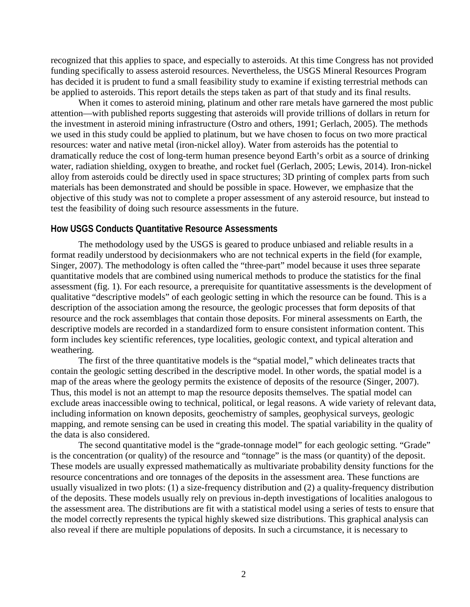recognized that this applies to space, and especially to asteroids. At this time Congress has not provided funding specifically to assess asteroid resources. Nevertheless, the USGS Mineral Resources Program has decided it is prudent to fund a small feasibility study to examine if existing terrestrial methods can be applied to asteroids. This report details the steps taken as part of that study and its final results.

When it comes to asteroid mining, platinum and other rare metals have garnered the most public attention—with published reports suggesting that asteroids will provide trillions of dollars in return for the investment in asteroid mining infrastructure (Ostro and others, 1991; Gerlach, 2005). The methods we used in this study could be applied to platinum, but we have chosen to focus on two more practical resources: water and native metal (iron-nickel alloy). Water from asteroids has the potential to dramatically reduce the cost of long-term human presence beyond Earth's orbit as a source of drinking water, radiation shielding, oxygen to breathe, and rocket fuel (Gerlach, 2005; Lewis, 2014). Iron-nickel alloy from asteroids could be directly used in space structures; 3D printing of complex parts from such materials has been demonstrated and should be possible in space. However, we emphasize that the objective of this study was not to complete a proper assessment of any asteroid resource, but instead to test the feasibility of doing such resource assessments in the future.

#### **How USGS Conducts Quantitative Resource Assessments**

The methodology used by the USGS is geared to produce unbiased and reliable results in a format readily understood by decisionmakers who are not technical experts in the field (for example, Singer, 2007). The methodology is often called the "three-part" model because it uses three separate quantitative models that are combined using numerical methods to produce the statistics for the final assessment (fig. 1). For each resource, a prerequisite for quantitative assessments is the development of qualitative "descriptive models" of each geologic setting in which the resource can be found. This is a description of the association among the resource, the geologic processes that form deposits of that resource and the rock assemblages that contain those deposits. For mineral assessments on Earth, the descriptive models are recorded in a standardized form to ensure consistent information content. This form includes key scientific references, type localities, geologic context, and typical alteration and weathering.

The first of the three quantitative models is the "spatial model," which delineates tracts that contain the geologic setting described in the descriptive model. In other words, the spatial model is a map of the areas where the geology permits the existence of deposits of the resource (Singer, 2007). Thus, this model is not an attempt to map the resource deposits themselves. The spatial model can exclude areas inaccessible owing to technical, political, or legal reasons. A wide variety of relevant data, including information on known deposits, geochemistry of samples, geophysical surveys, geologic mapping, and remote sensing can be used in creating this model. The spatial variability in the quality of the data is also considered.

The second quantitative model is the "grade-tonnage model" for each geologic setting. "Grade" is the concentration (or quality) of the resource and "tonnage" is the mass (or quantity) of the deposit. These models are usually expressed mathematically as multivariate probability density functions for the resource concentrations and ore tonnages of the deposits in the assessment area. These functions are usually visualized in two plots: (1) a size-frequency distribution and (2) a quality-frequency distribution of the deposits. These models usually rely on previous in-depth investigations of localities analogous to the assessment area. The distributions are fit with a statistical model using a series of tests to ensure that the model correctly represents the typical highly skewed size distributions. This graphical analysis can also reveal if there are multiple populations of deposits. In such a circumstance, it is necessary to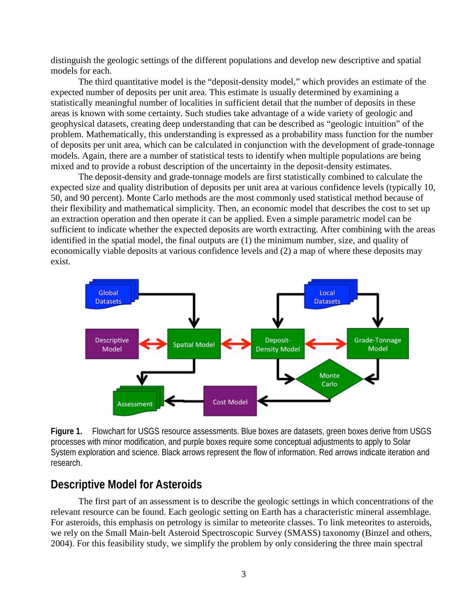distinguish the geologic settings of the different populations and develop new descriptive and spatial models for each.

The third quantitative model is the "deposit-density model," which provides an estimate of the expected number of deposits per unit area. This estimate is usually determined by examining a statistically meaningful number of localities in sufficient detail that the number of deposits in these areas is known with some certainty. Such studies take advantage of a wide variety of geologic and geophysical datasets, creating deep understanding that can be described as "geologic intuition" of the problem. Mathematically, this understanding is expressed as a probability mass function for the number of deposits per unit area, which can be calculated in conjunction with the development of grade-tonnage models. Again, there are a number of statistical tests to identify when multiple populations are being mixed and to provide a robust description of the uncertainty in the deposit-density estimates.

The deposit-density and grade-tonnage models are first statistically combined to calculate the expected size and quality distribution of deposits per unit area at various confidence levels (typically 10, 50, and 90 percent). Monte Carlo methods are the most commonly used statistical method because of their flexibility and mathematical simplicity. Then, an economic model that describes the cost to set up an extraction operation and then operate it can be applied. Even a simple parametric model can be sufficient to indicate whether the expected deposits are worth extracting. After combining with the areas identified in the spatial model, the final outputs are (1) the minimum number, size, and quality of economically viable deposits at various confidence levels and (2) a map of where these deposits may exist.



**Figure 1.** Flowchart for USGS resource assessments. Blue boxes are datasets, green boxes derive from USGS processes with minor modification, and purple boxes require some conceptual adjustments to apply to Solar System exploration and science. Black arrows represent the flow of information. Red arrows indicate iteration and research.

## **Descriptive Model for Asteroids**

The first part of an assessment is to describe the geologic settings in which concentrations of the relevant resource can be found. Each geologic setting on Earth has a characteristic mineral assemblage. For asteroids, this emphasis on petrology is similar to meteorite classes. To link meteorites to asteroids, we rely on the Small Main-belt Asteroid Spectroscopic Survey (SMASS) taxonomy (Binzel and others, 2004). For this feasibility study, we simplify the problem by only considering the three main spectral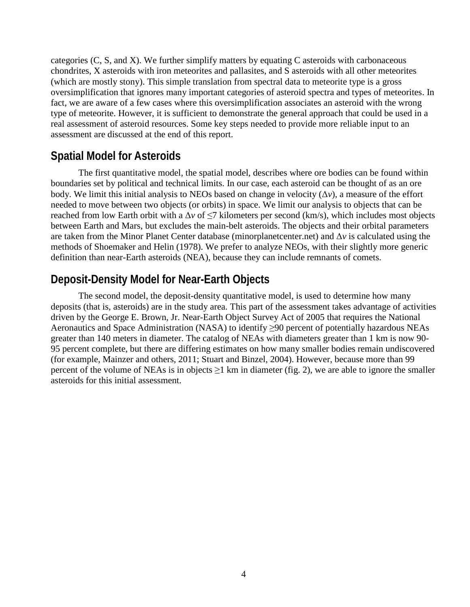categories (C, S, and X). We further simplify matters by equating C asteroids with carbonaceous chondrites, X asteroids with iron meteorites and pallasites, and S asteroids with all other meteorites (which are mostly stony). This simple translation from spectral data to meteorite type is a gross oversimplification that ignores many important categories of asteroid spectra and types of meteorites. In fact, we are aware of a few cases where this oversimplification associates an asteroid with the wrong type of meteorite. However, it is sufficient to demonstrate the general approach that could be used in a real assessment of asteroid resources. Some key steps needed to provide more reliable input to an assessment are discussed at the end of this report.

## **Spatial Model for Asteroids**

The first quantitative model, the spatial model, describes where ore bodies can be found within boundaries set by political and technical limits. In our case, each asteroid can be thought of as an ore body. We limit this initial analysis to NEOs based on change in velocity (Δ*v*), a measure of the effort needed to move between two objects (or orbits) in space. We limit our analysis to objects that can be reached from low Earth orbit with a  $\Delta v$  of  $\leq$ 7 kilometers per second (km/s), which includes most objects between Earth and Mars, but excludes the main-belt asteroids. The objects and their orbital parameters are taken from the Minor Planet Center database (minorplanetcenter.net) and Δ*v* is calculated using the methods of Shoemaker and Helin (1978). We prefer to analyze NEOs, with their slightly more generic definition than near-Earth asteroids (NEA), because they can include remnants of comets.

## **Deposit-Density Model for Near-Earth Objects**

The second model, the deposit-density quantitative model, is used to determine how many deposits (that is, asteroids) are in the study area. This part of the assessment takes advantage of activities driven by the George E. Brown, Jr. Near-Earth Object Survey Act of 2005 that requires the National Aeronautics and Space Administration (NASA) to identify ≥90 percent of potentially hazardous NEAs greater than 140 meters in diameter. The catalog of NEAs with diameters greater than 1 km is now 90- 95 percent complete, but there are differing estimates on how many smaller bodies remain undiscovered (for example, Mainzer and others, 2011; Stuart and Binzel, 2004). However, because more than 99 percent of the volume of NEAs is in objects  $\geq 1$  km in diameter (fig. 2), we are able to ignore the smaller asteroids for this initial assessment.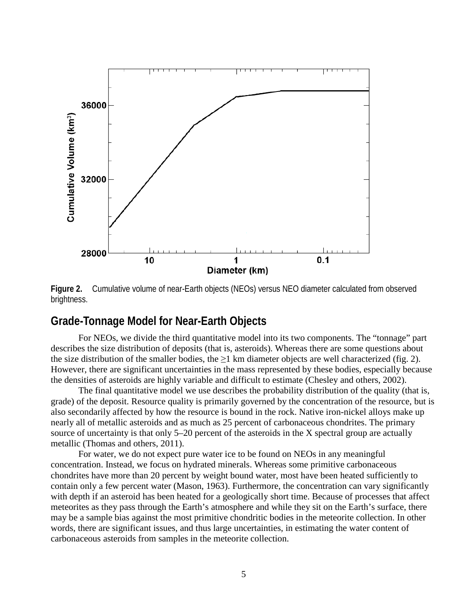

**Figure 2.** Cumulative volume of near-Earth objects (NEOs) versus NEO diameter calculated from observed brightness.

### **Grade-Tonnage Model for Near-Earth Objects**

For NEOs, we divide the third quantitative model into its two components. The "tonnage" part describes the size distribution of deposits (that is, asteroids). Whereas there are some questions about the size distribution of the smaller bodies, the  $\geq 1$  km diameter objects are well characterized (fig. 2). However, there are significant uncertainties in the mass represented by these bodies, especially because the densities of asteroids are highly variable and difficult to estimate (Chesley and others, 2002).

The final quantitative model we use describes the probability distribution of the quality (that is, grade) of the deposit. Resource quality is primarily governed by the concentration of the resource, but is also secondarily affected by how the resource is bound in the rock. Native iron-nickel alloys make up nearly all of metallic asteroids and as much as 25 percent of carbonaceous chondrites. The primary source of uncertainty is that only 5–20 percent of the asteroids in the X spectral group are actually metallic (Thomas and others, 2011).

For water, we do not expect pure water ice to be found on NEOs in any meaningful concentration. Instead, we focus on hydrated minerals. Whereas some primitive carbonaceous chondrites have more than 20 percent by weight bound water, most have been heated sufficiently to contain only a few percent water (Mason, 1963). Furthermore, the concentration can vary significantly with depth if an asteroid has been heated for a geologically short time. Because of processes that affect meteorites as they pass through the Earth's atmosphere and while they sit on the Earth's surface, there may be a sample bias against the most primitive chondritic bodies in the meteorite collection. In other words, there are significant issues, and thus large uncertainties, in estimating the water content of carbonaceous asteroids from samples in the meteorite collection.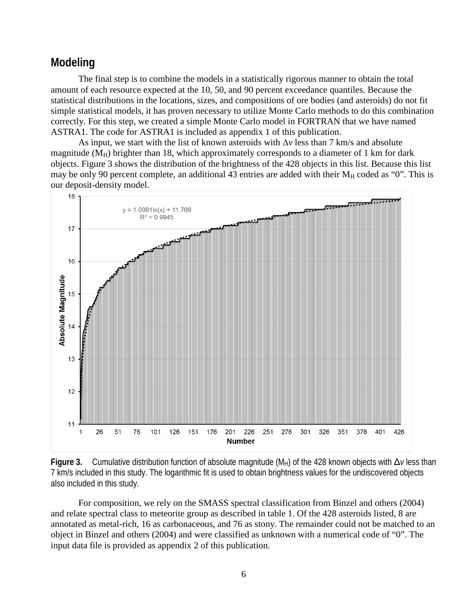## **Modeling**

The final step is to combine the models in a statistically rigorous manner to obtain the total amount of each resource expected at the 10, 50, and 90 percent exceedance quantiles. Because the statistical distributions in the locations, sizes, and compositions of ore bodies (and asteroids) do not fit simple statistical models, it has proven necessary to utilize Monte Carlo methods to do this combination correctly. For this step, we created a simple Monte Carlo model in FORTRAN that we have named ASTRA1. The code for ASTRA1 is included as appendix 1 of this publication.

As input, we start with the list of known asteroids with Δ*v* less than 7 km/s and absolute magnitude ( $M_H$ ) brighter than 18, which approximately corresponds to a diameter of 1 km for dark objects. Figure 3 shows the distribution of the brightness of the 428 objects in this list. Because this list may be only 90 percent complete, an additional 43 entries are added with their  $M_H$  coded as "0". This is our deposit-density model.





For composition, we rely on the SMASS spectral classification from Binzel and others (2004) and relate spectral class to meteorite group as described in table 1. Of the 428 asteroids listed, 8 are annotated as metal-rich, 16 as carbonaceous, and 76 as stony. The remainder could not be matched to an object in Binzel and others (2004) and were classified as unknown with a numerical code of "0". The input data file is provided as appendix 2 of this publication.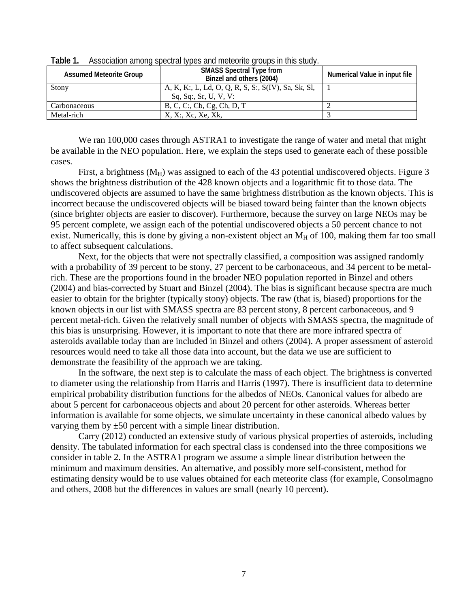| <b>Assumed Meteorite Group</b> | <b>SMASS Spectral Type from</b><br>Binzel and others (2004) | Numerical Value in input file |
|--------------------------------|-------------------------------------------------------------|-------------------------------|
| Stony                          | A, K, K:, L, Ld, O, Q, R, S, S:, S(IV), Sa, Sk, Sl,         |                               |
|                                | Sq, Sq: Sr, U, V, V:                                        |                               |
| Carbonaceous                   | B, C, C:, Cb, Cg, Ch, D, T                                  |                               |
| Metal-rich                     | X, X:, Xc, Xe, Xk,                                          |                               |

**Table 1.** Association among spectral types and meteorite groups in this study.

We ran 100,000 cases through ASTRA1 to investigate the range of water and metal that might be available in the NEO population. Here, we explain the steps used to generate each of these possible cases.

First, a brightness  $(M_H)$  was assigned to each of the 43 potential undiscovered objects. Figure 3 shows the brightness distribution of the 428 known objects and a logarithmic fit to those data. The undiscovered objects are assumed to have the same brightness distribution as the known objects. This is incorrect because the undiscovered objects will be biased toward being fainter than the known objects (since brighter objects are easier to discover). Furthermore, because the survey on large NEOs may be 95 percent complete, we assign each of the potential undiscovered objects a 50 percent chance to not exist. Numerically, this is done by giving a non-existent object an  $M_H$  of 100, making them far too small to affect subsequent calculations.

Next, for the objects that were not spectrally classified, a composition was assigned randomly with a probability of 39 percent to be stony, 27 percent to be carbonaceous, and 34 percent to be metalrich. These are the proportions found in the broader NEO population reported in Binzel and others (2004) and bias-corrected by Stuart and Binzel (2004). The bias is significant because spectra are much easier to obtain for the brighter (typically stony) objects. The raw (that is, biased) proportions for the known objects in our list with SMASS spectra are 83 percent stony, 8 percent carbonaceous, and 9 percent metal-rich. Given the relatively small number of objects with SMASS spectra, the magnitude of this bias is unsurprising. However, it is important to note that there are more infrared spectra of asteroids available today than are included in Binzel and others (2004). A proper assessment of asteroid resources would need to take all those data into account, but the data we use are sufficient to demonstrate the feasibility of the approach we are taking.

In the software, the next step is to calculate the mass of each object. The brightness is converted to diameter using the relationship from Harris and Harris (1997). There is insufficient data to determine empirical probability distribution functions for the albedos of NEOs. Canonical values for albedo are about 5 percent for carbonaceous objects and about 20 percent for other asteroids. Whereas better information is available for some objects, we simulate uncertainty in these canonical albedo values by varying them by  $\pm 50$  percent with a simple linear distribution.

Carry (2012) conducted an extensive study of various physical properties of asteroids, including density. The tabulated information for each spectral class is condensed into the three compositions we consider in table 2. In the ASTRA1 program we assume a simple linear distribution between the minimum and maximum densities. An alternative, and possibly more self-consistent, method for estimating density would be to use values obtained for each meteorite class (for example, Consolmagno and others, 2008 but the differences in values are small (nearly 10 percent).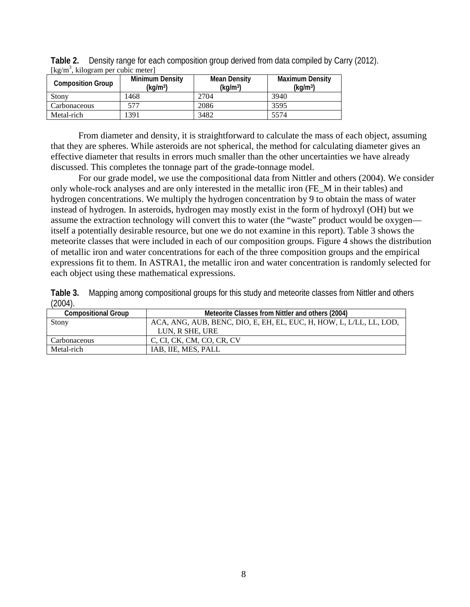| Table 2. Density range for each composition group derived from data compiled by Carry (2012). |  |
|-----------------------------------------------------------------------------------------------|--|
| [ $\text{kg/m}^3$ , kilogram per cubic meter]                                                 |  |

| <b>Composition Group</b> | <b>Minimum Density</b><br>(kq/m <sup>3</sup> ) | Mean Density<br>(kq/m <sup>3</sup> ) | <b>Maximum Density</b><br>(kq/m <sup>3</sup> ) |
|--------------------------|------------------------------------------------|--------------------------------------|------------------------------------------------|
| Stony                    | 1468                                           | 2704                                 | 3940                                           |
| Carbonaceous             | 577                                            | 2086                                 | 3595                                           |
| Metal-rich               | 391                                            | 3482                                 | 5574                                           |

From diameter and density, it is straightforward to calculate the mass of each object, assuming that they are spheres. While asteroids are not spherical, the method for calculating diameter gives an effective diameter that results in errors much smaller than the other uncertainties we have already discussed. This completes the tonnage part of the grade-tonnage model.

For our grade model, we use the compositional data from Nittler and others (2004). We consider only whole-rock analyses and are only interested in the metallic iron (FE\_M in their tables) and hydrogen concentrations. We multiply the hydrogen concentration by 9 to obtain the mass of water instead of hydrogen. In asteroids, hydrogen may mostly exist in the form of hydroxyl (OH) but we assume the extraction technology will convert this to water (the "waste" product would be oxygen itself a potentially desirable resource, but one we do not examine in this report). Table 3 shows the meteorite classes that were included in each of our composition groups. Figure 4 shows the distribution of metallic iron and water concentrations for each of the three composition groups and the empirical expressions fit to them. In ASTRA1, the metallic iron and water concentration is randomly selected for each object using these mathematical expressions.

**Table 3.** Mapping among compositional groups for this study and meteorite classes from Nittler and others  $(2004)$ .

| $\sim$ $\sim$ $\sim$ $\sim$ $\sim$ |                                                                     |  |  |
|------------------------------------|---------------------------------------------------------------------|--|--|
| <b>Compositional Group</b>         | Meteorite Classes from Nittler and others (2004)                    |  |  |
| Stony                              | ACA, ANG, AUB, BENC, DIO, E, EH, EL, EUC, H, HOW, L, L/LL, LL, LOD, |  |  |
|                                    | LUN, R SHE, URE                                                     |  |  |
| Carbonaceous                       | C, CI, CK, CM, CO, CR, CV                                           |  |  |
| Metal-rich                         | IAB. IIE. MES. PALL                                                 |  |  |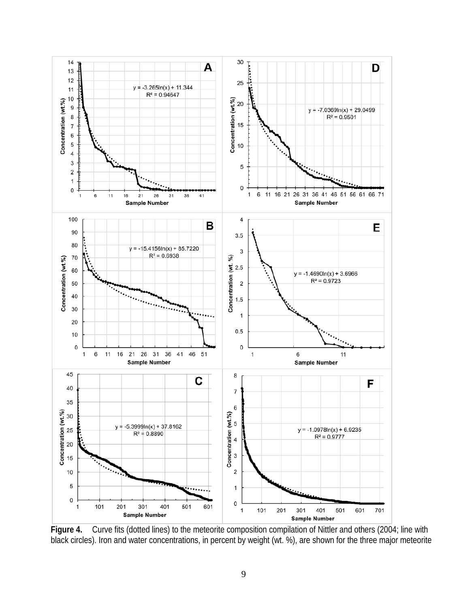

**Figure 4.** Curve fits (dotted lines) to the meteorite composition compilation of Nittler and others (2004; line with black circles). Iron and water concentrations, in percent by weight (wt. %), are shown for the three major meteorite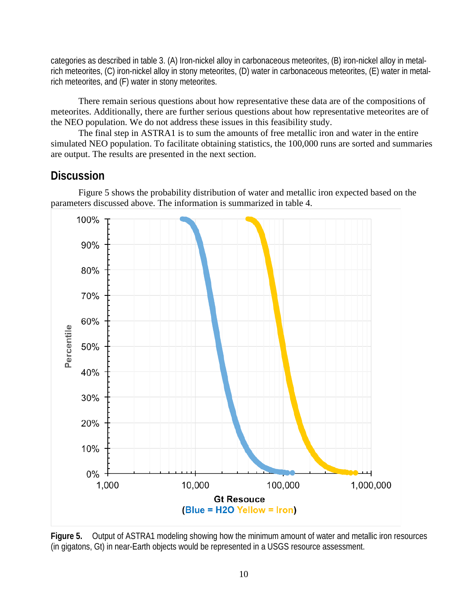categories as described in table 3. (A) Iron-nickel alloy in carbonaceous meteorites, (B) iron-nickel alloy in metalrich meteorites, (C) iron-nickel alloy in stony meteorites, (D) water in carbonaceous meteorites, (E) water in metalrich meteorites, and (F) water in stony meteorites.

There remain serious questions about how representative these data are of the compositions of meteorites. Additionally, there are further serious questions about how representative meteorites are of the NEO population. We do not address these issues in this feasibility study.

The final step in ASTRA1 is to sum the amounts of free metallic iron and water in the entire simulated NEO population. To facilitate obtaining statistics, the 100,000 runs are sorted and summaries are output. The results are presented in the next section.

## **Discussion**

Figure 5 shows the probability distribution of water and metallic iron expected based on the parameters discussed above. The information is summarized in table 4.



**Figure 5.** Output of ASTRA1 modeling showing how the minimum amount of water and metallic iron resources (in gigatons, Gt) in near-Earth objects would be represented in a USGS resource assessment.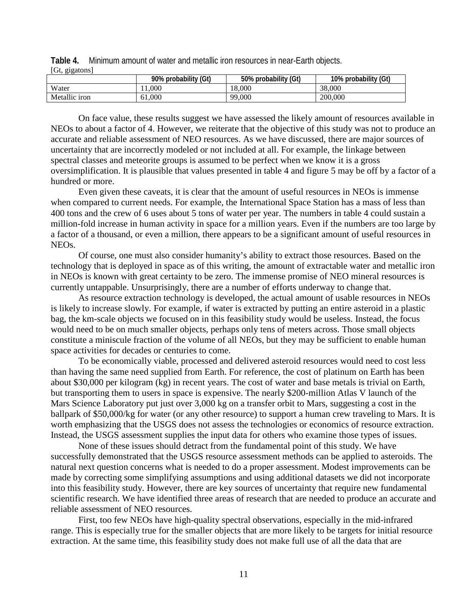**Table 4.** Minimum amount of water and metallic iron resources in near-Earth objects. [Gt, gigatons]

|               | 90% probability (Gt) | 50% probability<br>(Gt) | (Gt)<br>10% probability |
|---------------|----------------------|-------------------------|-------------------------|
| Water         | 11.000               | 18.000                  | 38,000                  |
| Metallic iron | 61,000               | 99,000                  | 200,000                 |

On face value, these results suggest we have assessed the likely amount of resources available in NEOs to about a factor of 4. However, we reiterate that the objective of this study was not to produce an accurate and reliable assessment of NEO resources. As we have discussed, there are major sources of uncertainty that are incorrectly modeled or not included at all. For example, the linkage between spectral classes and meteorite groups is assumed to be perfect when we know it is a gross oversimplification. It is plausible that values presented in table 4 and figure 5 may be off by a factor of a hundred or more.

Even given these caveats, it is clear that the amount of useful resources in NEOs is immense when compared to current needs. For example, the International Space Station has a mass of less than 400 tons and the crew of 6 uses about 5 tons of water per year. The numbers in table 4 could sustain a million-fold increase in human activity in space for a million years. Even if the numbers are too large by a factor of a thousand, or even a million, there appears to be a significant amount of useful resources in NEOs.

Of course, one must also consider humanity's ability to extract those resources. Based on the technology that is deployed in space as of this writing, the amount of extractable water and metallic iron in NEOs is known with great certainty to be zero. The immense promise of NEO mineral resources is currently untappable. Unsurprisingly, there are a number of efforts underway to change that.

As resource extraction technology is developed, the actual amount of usable resources in NEOs is likely to increase slowly. For example, if water is extracted by putting an entire asteroid in a plastic bag, the km-scale objects we focused on in this feasibility study would be useless. Instead, the focus would need to be on much smaller objects, perhaps only tens of meters across. Those small objects constitute a miniscule fraction of the volume of all NEOs, but they may be sufficient to enable human space activities for decades or centuries to come.

To be economically viable, processed and delivered asteroid resources would need to cost less than having the same need supplied from Earth. For reference, the cost of platinum on Earth has been about \$30,000 per kilogram (kg) in recent years. The cost of water and base metals is trivial on Earth, but transporting them to users in space is expensive. The nearly \$200-million Atlas V launch of the Mars Science Laboratory put just over 3,000 kg on a transfer orbit to Mars, suggesting a cost in the ballpark of \$50,000/kg for water (or any other resource) to support a human crew traveling to Mars. It is worth emphasizing that the USGS does not assess the technologies or economics of resource extraction. Instead, the USGS assessment supplies the input data for others who examine those types of issues.

None of these issues should detract from the fundamental point of this study. We have successfully demonstrated that the USGS resource assessment methods can be applied to asteroids. The natural next question concerns what is needed to do a proper assessment. Modest improvements can be made by correcting some simplifying assumptions and using additional datasets we did not incorporate into this feasibility study. However, there are key sources of uncertainty that require new fundamental scientific research. We have identified three areas of research that are needed to produce an accurate and reliable assessment of NEO resources.

First, too few NEOs have high-quality spectral observations, especially in the mid-infrared range. This is especially true for the smaller objects that are more likely to be targets for initial resource extraction. At the same time, this feasibility study does not make full use of all the data that are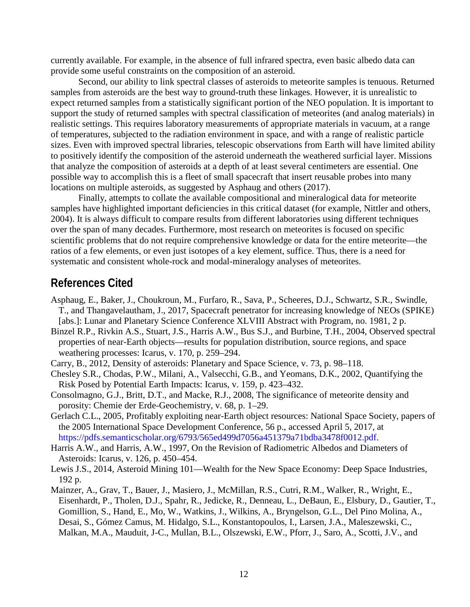currently available. For example, in the absence of full infrared spectra, even basic albedo data can provide some useful constraints on the composition of an asteroid.

Second, our ability to link spectral classes of asteroids to meteorite samples is tenuous. Returned samples from asteroids are the best way to ground-truth these linkages. However, it is unrealistic to expect returned samples from a statistically significant portion of the NEO population. It is important to support the study of returned samples with spectral classification of meteorites (and analog materials) in realistic settings. This requires laboratory measurements of appropriate materials in vacuum, at a range of temperatures, subjected to the radiation environment in space, and with a range of realistic particle sizes. Even with improved spectral libraries, telescopic observations from Earth will have limited ability to positively identify the composition of the asteroid underneath the weathered surficial layer. Missions that analyze the composition of asteroids at a depth of at least several centimeters are essential. One possible way to accomplish this is a fleet of small spacecraft that insert reusable probes into many locations on multiple asteroids, as suggested by Asphaug and others (2017).

Finally, attempts to collate the available compositional and mineralogical data for meteorite samples have highlighted important deficiencies in this critical dataset (for example, Nittler and others, 2004). It is always difficult to compare results from different laboratories using different techniques over the span of many decades. Furthermore, most research on meteorites is focused on specific scientific problems that do not require comprehensive knowledge or data for the entire meteorite—the ratios of a few elements, or even just isotopes of a key element, suffice. Thus, there is a need for systematic and consistent whole-rock and modal-mineralogy analyses of meteorites.

### **References Cited**

- Asphaug, E., Baker, J., Choukroun, M., Furfaro, R., Sava, P., Scheeres, D.J., Schwartz, S.R., Swindle, T., and Thangavelautham, J., 2017, Spacecraft penetrator for increasing knowledge of NEOs (SPIKE) [abs.]: Lunar and Planetary Science Conference XLVIII Abstract with Program, no. 1981, 2 p.
- Binzel R.P., Rivkin A.S., Stuart, J.S., Harris A.W., Bus S.J., and Burbine, T.H., 2004, Observed spectral properties of near-Earth objects—results for population distribution, source regions, and space weathering processes: Icarus, v. 170, p. 259–294.
- Carry, B., 2012, Density of asteroids: Planetary and Space Science, v. 73, p. 98–118.
- Chesley S.R., Chodas, P.W., Milani, A., Valsecchi, G.B., and Yeomans, D.K., 2002, Quantifying the Risk Posed by Potential Earth Impacts: Icarus, v. 159, p. 423–432.
- Consolmagno, G.J., Britt, D.T., and Macke, R.J., 2008, The significance of meteorite density and porosity: Chemie der Erde-Geochemistry, v. 68, p. 1–29.
- Gerlach C.L., 2005, Profitably exploiting near-Earth object resources: National Space Society, papers of the 2005 International Space Development Conference, 56 p., accessed April 5, 2017, at [https://pdfs.semanticscholar.org/6793/565ed499d7056a451379a71bdba3478f0012.pdf.](https://pdfs.semanticscholar.org/6793/565ed499d7056a451379a71bdba3478f0012.pdf)
- Harris A.W., and Harris, A.W., 1997, On the Revision of Radiometric Albedos and Diameters of Asteroids: Icarus, v. 126, p. 450–454.
- Lewis J.S., 2014, Asteroid Mining 101—Wealth for the New Space Economy: Deep Space Industries, 192 p.
- Mainzer, A., Grav, T., Bauer, J., Masiero, J., McMillan, R.S., Cutri, R.M., Walker, R., Wright, E., Eisenhardt, P., Tholen, D.J., Spahr, R., Jedicke, R., Denneau, L., DeBaun, E., Elsbury, D., Gautier, T., Gomillion, S., Hand, E., Mo, W., Watkins, J., Wilkins, A., Bryngelson, G.L., Del Pino Molina, A., Desai, S., Gómez Camus, M. Hidalgo, S.L., Konstantopoulos, I., Larsen, J.A., Maleszewski, C., Malkan, M.A., Mauduit, J-C., Mullan, B.L., Olszewski, E.W., Pforr, J., Saro, A., Scotti, J.V., and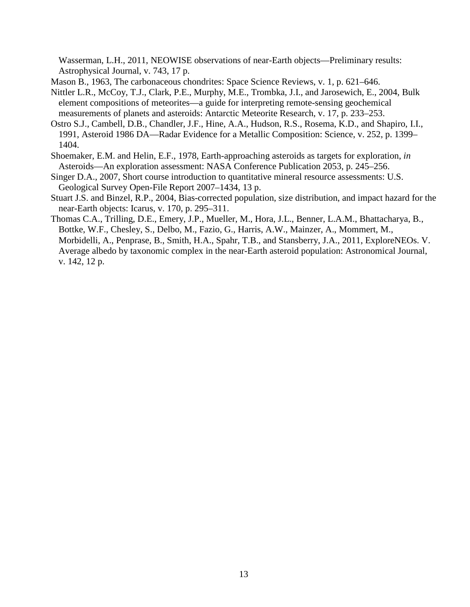Wasserman, L.H., 2011, NEOWISE observations of near-Earth objects—Preliminary results: Astrophysical Journal, v. 743, 17 p.

- Mason B., 1963, The carbonaceous chondrites: Space Science Reviews, v. 1, p. 621–646.
- Nittler L.R., McCoy, T.J., Clark, P.E., Murphy, M.E., Trombka, J.I., and Jarosewich, E., 2004, Bulk element compositions of meteorites—a guide for interpreting remote-sensing geochemical measurements of planets and asteroids: Antarctic Meteorite Research, v. 17, p. 233–253.
- Ostro S.J., Cambell, D.B., Chandler, J.F., Hine, A.A., Hudson, R.S., Rosema, K.D., and Shapiro, I.I., 1991, Asteroid 1986 DA—Radar Evidence for a Metallic Composition: Science, v. 252, p. 1399– 1404.
- Shoemaker, E.M. and Helin, E.F., 1978, Earth-approaching asteroids as targets for exploration, *in* Asteroids—An exploration assessment: NASA Conference Publication 2053, p. 245–256.
- Singer D.A., 2007, Short course introduction to quantitative mineral resource assessments: U.S. Geological Survey Open-File Report 2007–1434, 13 p.
- Stuart J.S. and Binzel, R.P., 2004, Bias-corrected population, size distribution, and impact hazard for the near-Earth objects: Icarus, v. 170, p. 295–311.
- Thomas C.A., Trilling, D.E., Emery, J.P., Mueller, M., Hora, J.L., Benner, L.A.M., Bhattacharya, B., Bottke, W.F., Chesley, S., Delbo, M., Fazio, G., Harris, A.W., Mainzer, A., Mommert, M., Morbidelli, A., Penprase, B., Smith, H.A., Spahr, T.B., and Stansberry, J.A., 2011, ExploreNEOs. V. Average albedo by taxonomic complex in the near-Earth asteroid population: Astronomical Journal, v. 142, 12 p.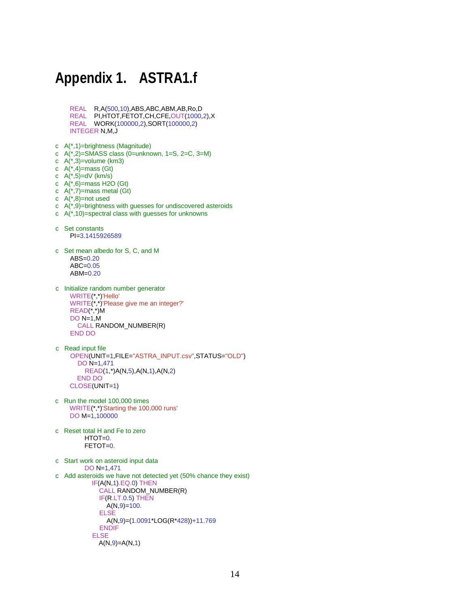## **Appendix 1. ASTRA1.f**

- REAL R,A(500,10),ABS,ABC,ABM,AB,Ro,D REAL PI,HTOT,FETOT,CH,CFE,OUT(1000,2),X REAL WORK(100000,2),SORT(100000,2) INTEGER N,M,J c A(\*,1)=brightness (Magnitude) c A(\*,2)=SMASS class (0=unknown, 1=S, 2=C, 3=M) c A(\*,3)=volume (km3) c  $A(*)$ =mass (Gt) c A(\*,5)=dV (km/s) c  $A(*)$ =mass H2O (Gt) c  $A$ (\*,7)=mass metal (Gt) c  $A(*)$ =not used c  $A(*)$ =brightness with guesses for undiscovered asteroids c  $A(*)10$ =spectral class with guesses for unknowns c Set constants PI=3.1415926589 c Set mean albedo for S, C, and M ABS=0.20 ABC=0.05 ABM=0.20
- c Initialize random number generator WRITE(\*,\*)'Hello' WRITE(\*,\*)'Please give me an integer?' READ(\*,\*)M DO N=1,M CALL RANDOM\_NUMBER(R) END DO
- c Read input file OPEN(UNIT=1,FILE="ASTRA\_INPUT.csv",STATUS="OLD") DO N=1,471 READ(1,\*)A(N,5),A(N,1),A(N,2) END DO CLOSE(UNIT=1)
- c Run the model 100,000 times WRITE(\*,\*)'Starting the 100,000 runs' DO M=1,100000
- c Reset total H and Fe to zero  $HTOT=0.$ FETOT=0.
- c Start work on asteroid input data DO N=1,471 c Add asteroids we have not detected yet (50% chance they exist) IF(A(N,1).EQ.0) THEN CALL RANDOM\_NUMBER(R) IF(R.LT.0.5) THEN A(N,9)=100. ELSE A(N,9)=(1.0091\*LOG(R\*428))+11.769 ENDIF ELSE  $A(N,9) = A(N,1)$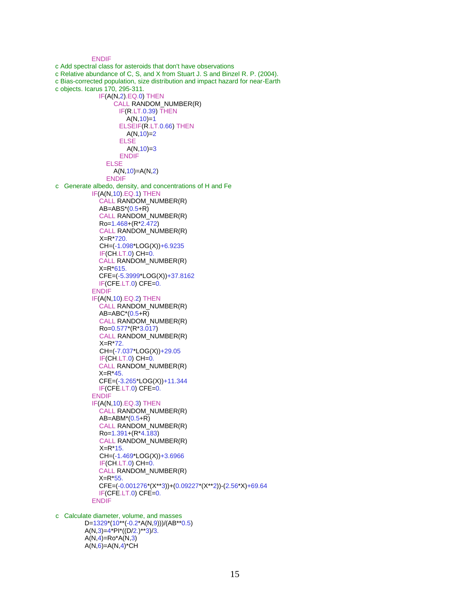```
 ENDIF
c Add spectral class for asteroids that don't have observations
c Relative abundance of C, S, and X from Stuart J. S and Binzel R. P. (2004).
c Bias-corrected population, size distribution and impact hazard for near-Earth
c objects. Icarus 170, 295-311. 
              IF(A(N,2).EQ.0) THEN
                   CALL RANDOM_NUMBER(R)
                    IF(R.LT.0.39) THEN
                      A(N,10)=1 ELSEIF(R.LT.0.66) THEN
                      A(N,10)=2 ELSE
                      A(N,10)=3 ENDIF
                 ELSE
                   A(N,10)=A(N,2) 
               ENDIF
c Generate albedo, density, and concentrations of H and Fe 
            IF(A(N,10).EQ.1) THEN
              CALL RANDOM_NUMBER(R)
              AB=ABS*(0.5+R)
              CALL RANDOM_NUMBER(R)
              Ro=1.468+(R*2.472) 
              CALL RANDOM_NUMBER(R)
              X=R*720.
              CH=(-1.098*LOG(X))+6.9235
              IF(CH.LT.0) CH=0.
              CALL RANDOM_NUMBER(R)
              X=R*615.
              CFE=(-5.3999*LOG(X))+37.8162
              IF(CFE.LT.0) CFE=0.
            ENDIF
            IF(A(N,10).EQ.2) THEN
              CALL RANDOM_NUMBER(R)
             AB = ABC*(0.5 + R) CALL RANDOM_NUMBER(R)
              Ro=0.577*(R*3.017) 
              CALL RANDOM_NUMBER(R)
              X=R*72.
              CH=(-7.037*LOG(X))+29.05
              IF(CH.LT.0) CH=0.
              CALL RANDOM_NUMBER(R)
              X=R*45.
              CFE=(-3.265*LOG(X))+11.344
              IF(CFE.LT.0) CFE=0.
           ENDIF
            IF(A(N,10).EQ.3) THEN
              CALL RANDOM_NUMBER(R)
              AB=ABM*(0.5+R)
              CALL RANDOM_NUMBER(R)
              Ro=1.391+(R*4.183) 
              CALL RANDOM_NUMBER(R)
              X=R*15.
              CH=(-1.469*LOG(X))+3.6966
              IF(CH.LT.0) CH=0.
              CALL RANDOM_NUMBER(R)
              X=R*55.
              CFE=(-0.001276*(X**3))+(0.09227*(X**2))-(2.56*X)+69.64
              IF(CFE.LT.0) CFE=0.
            ENDIF
c Calculate diameter, volume, and masses
```
 D=1329\*(10\*\*(-0.2\*A(N,9)))/(AB\*\*0.5)  $A(N,3)=4*PI*(10/2.)**3/3.$  $A(N,4) = Ro^*A(N,3)$  $A(N,6)=A(N,4)^*CH$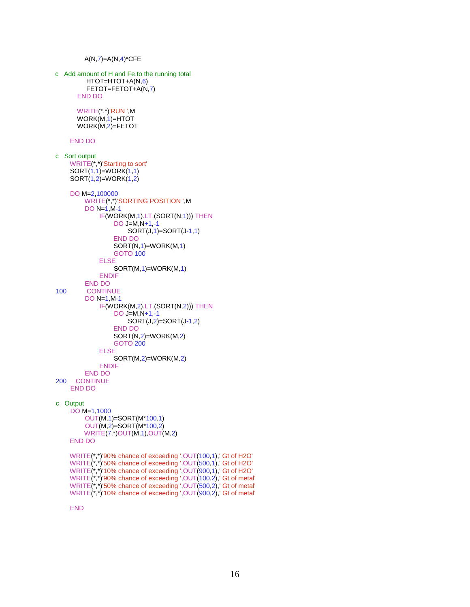```
A(N,7)=A(N,4)^*CFE
c Add amount of H and Fe to the running total
          HTOT=HTOT+A(N,6) 
          FETOT=FETOT+A(N,7) 
        END DO
       WRITE(*,*)'RUN ',M
       WORK(M,1)=HTOT
       WORK(M,2)=FETOT
     END DO
c Sort output
     WRITE(*,*)'Starting to sort'
     SORT(1,1) = WORK(1,1) SORT(1,2)=WORK(1,2) 
     DO M=2,100000
          WRITE(*,*)'SORTING POSITION ',M
          DO N=1,M-1
              IF(WORK(M,1).LT.(SORT(N,1))) THEN
                   DO J=M,N+1,-1
                       SORT(J,1)=SORT(J-1,1) 
                   END DO
                   SORT(N,1)=WORK(M,1) 
                   GOTO 100
              ELSE
                   SORT(M,1)=WORK(M,1) 
              ENDIF
END DO<br>100 CONTIN
         CONTINUE
          DO N=1,M-1
              IF(WORK(M,2).LT.(SORT(N,2))) THEN
                   DO J=M,N+1,-1
                       SORT(J,2)=SORT(J-1,2) 
                   END DO
                   SORT(N,2)=WORK(M,2) 
                   GOTO 200
              ELSE
                   SORT(M,2)=WORK(M,2) 
              ENDIF
          END DO
200 CONTINUE
     END DO
c Output
     DO M=1,1000
          OUT(M,1)=SORT(M*100,1) 
          OUT(M,2)=SORT(M*100,2) 
          WRITE(7,*)OUT(M,1),OUT(M,2) 
     END DO
     WRITE(*,*)'90% chance of exceeding ',OUT(100,1),' Gt of H2O'
     WRITE(*,*)'50% chance of exceeding ',OUT(500,1),' Gt of H2O'
     WRITE(*,*)'10% chance of exceeding ',OUT(900,1),' Gt of H2O'
 WRITE(*,*)'90% chance of exceeding ',OUT(100,2),' Gt of metal'
 WRITE(*,*)'50% chance of exceeding ',OUT(500,2),' Gt of metal'
 WRITE(*,*)'10% chance of exceeding ',OUT(900,2),' Gt of metal'
```
END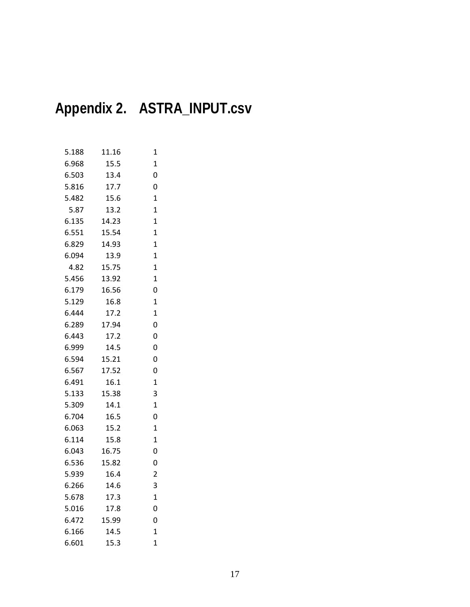# **Appendix 2. ASTRA\_INPUT.csv**

| 5.188 | 11.16 | $\mathbf{1}$   |
|-------|-------|----------------|
| 6.968 | 15.5  | $\mathbf{1}$   |
| 6.503 | 13.4  | 0              |
| 5.816 | 17.7  | 0              |
| 5.482 | 15.6  | $\mathbf{1}$   |
| 5.87  | 13.2  | $\mathbf{1}$   |
| 6.135 | 14.23 | $\mathbf{1}$   |
| 6.551 | 15.54 | $\mathbf{1}$   |
| 6.829 | 14.93 | $\mathbf{1}$   |
| 6.094 | 13.9  | $\mathbf{1}$   |
| 4.82  | 15.75 | $\mathbf{1}$   |
| 5.456 | 13.92 | $\overline{1}$ |
| 6.179 | 16.56 | 0              |
| 5.129 | 16.8  | $\mathbf{1}$   |
| 6.444 | 17.2  | $\mathbf{1}$   |
| 6.289 | 17.94 | 0              |
| 6.443 | 17.2  | 0              |
| 6.999 | 14.5  | 0              |
| 6.594 | 15.21 | 0              |
| 6.567 | 17.52 | 0              |
| 6.491 | 16.1  | $\mathbf{1}$   |
| 5.133 | 15.38 | 3              |
| 5.309 | 14.1  | $\mathbf{1}$   |
| 6.704 | 16.5  | 0              |
| 6.063 | 15.2  | $\mathbf{1}$   |
| 6.114 | 15.8  | $\mathbf{1}$   |
| 6.043 | 16.75 | 0              |
| 6.536 | 15.82 | 0              |
| 5.939 | 16.4  | $\overline{c}$ |
| 6.266 | 14.6  | 3              |
| 5.678 | 17.3  | $\mathbf{1}$   |
| 5.016 | 17.8  | 0              |
| 6.472 | 15.99 | 0              |
| 6.166 | 14.5  | $\mathbf{1}$   |
| 6.601 | 15.3  | 1              |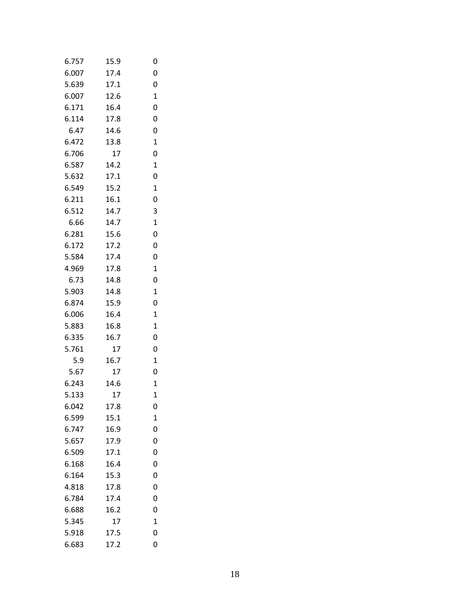| 6.757 | 15.9 | 0           |
|-------|------|-------------|
| 6.007 | 17.4 | 0           |
| 5.639 | 17.1 | 0           |
| 6.007 | 12.6 | 1           |
| 6.171 | 16.4 | 0           |
| 6.114 | 17.8 | 0           |
| 6.47  | 14.6 | 0           |
| 6.472 | 13.8 | 1           |
| 6.706 | 17   | 0           |
| 6.587 | 14.2 | 1           |
| 5.632 | 17.1 | 0           |
| 6.549 | 15.2 | 1           |
| 6.211 | 16.1 | 0           |
| 6.512 | 14.7 | 3           |
| 6.66  | 14.7 | $\mathbf 1$ |
| 6.281 | 15.6 | 0           |
| 6.172 | 17.2 | 0           |
| 5.584 | 17.4 | 0           |
| 4.969 | 17.8 | $\mathbf 1$ |
| 6.73  | 14.8 | 0           |
| 5.903 | 14.8 | $\mathbf 1$ |
| 6.874 | 15.9 | 0           |
| 6.006 | 16.4 | $\mathbf 1$ |
| 5.883 | 16.8 | 1           |
| 6.335 | 16.7 | 0           |
| 5.761 | 17   | 0           |
| 5.9   | 16.7 | $\mathbf 1$ |
| 5.67  | 17   | 0           |
| 6.243 | 14.6 | $\mathbf 1$ |
| 5.133 | 17   | 1           |
| 6.042 | 17.8 | 0           |
| 6.599 | 15.1 | 1           |
| 6.747 | 16.9 | 0           |
| 5.657 | 17.9 | 0           |
| 6.509 | 17.1 | 0           |
| 6.168 | 16.4 | 0           |
| 6.164 | 15.3 | 0           |
| 4.818 | 17.8 | 0           |
| 6.784 | 17.4 | 0           |
| 6.688 | 16.2 | 0           |
| 5.345 | 17   | $\mathbf 1$ |
| 5.918 | 17.5 | 0           |
| 6.683 | 17.2 | 0           |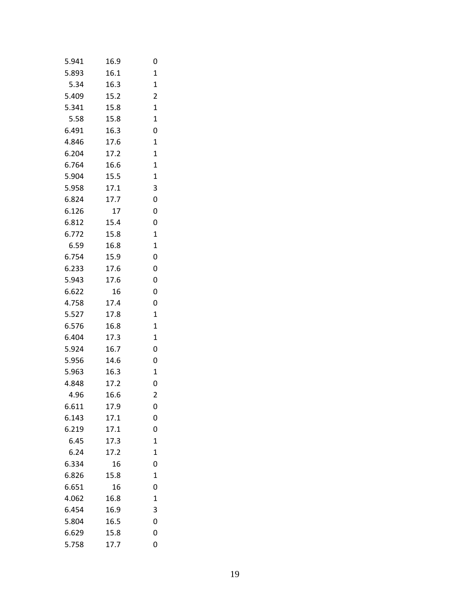| 5.941 | 16.9 | 0              |
|-------|------|----------------|
| 5.893 | 16.1 | $\mathbf 1$    |
| 5.34  | 16.3 | $\mathbf 1$    |
| 5.409 | 15.2 | 2              |
| 5.341 | 15.8 | $\mathbf 1$    |
| 5.58  | 15.8 | $\mathbf 1$    |
| 6.491 | 16.3 | 0              |
| 4.846 | 17.6 | $\mathbf 1$    |
| 6.204 | 17.2 | $\mathbf{1}$   |
| 6.764 | 16.6 | 1              |
| 5.904 | 15.5 | $\mathbf 1$    |
| 5.958 | 17.1 | 3              |
| 6.824 | 17.7 | 0              |
| 6.126 | 17   | 0              |
| 6.812 | 15.4 | 0              |
| 6.772 | 15.8 | $\mathbf 1$    |
| 6.59  | 16.8 | $\mathbf{1}$   |
| 6.754 | 15.9 | 0              |
| 6.233 | 17.6 | 0              |
| 5.943 | 17.6 | 0              |
| 6.622 | 16   | 0              |
| 4.758 | 17.4 | 0              |
| 5.527 | 17.8 | $\mathbf{1}$   |
| 6.576 | 16.8 | $\mathbf 1$    |
| 6.404 | 17.3 | $\mathbf{1}$   |
| 5.924 | 16.7 | 0              |
| 5.956 | 14.6 | 0              |
| 5.963 | 16.3 | $\mathbf 1$    |
| 4.848 | 17.2 | 0              |
| 4.96  | 16.6 | 2              |
| 6.611 | 17.9 | 0              |
| 6.143 | 17.1 | 0              |
| 6.219 | 17.1 | 0              |
| 6.45  | 17.3 | $\mathbf 1$    |
| 6.24  | 17.2 | $\overline{1}$ |
| 6.334 | 16   | 0              |
| 6.826 | 15.8 | $\mathbf{1}$   |
| 6.651 | 16   | 0              |
| 4.062 | 16.8 | $\mathbf{1}$   |
| 6.454 | 16.9 | 3              |
| 5.804 | 16.5 | 0              |
| 6.629 | 15.8 | 0              |
| 5.758 | 17.7 | 0              |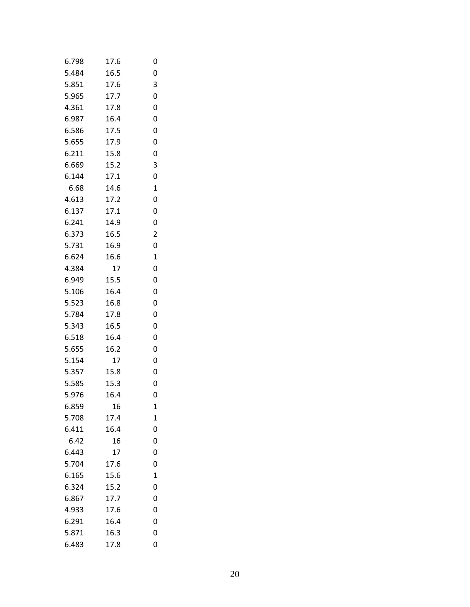| 6.798 | 17.6 | 0           |
|-------|------|-------------|
| 5.484 | 16.5 | 0           |
| 5.851 | 17.6 | 3           |
| 5.965 | 17.7 | 0           |
| 4.361 | 17.8 | 0           |
| 6.987 | 16.4 | 0           |
| 6.586 | 17.5 | 0           |
| 5.655 | 17.9 | 0           |
| 6.211 | 15.8 | 0           |
| 6.669 | 15.2 | 3           |
| 6.144 | 17.1 | 0           |
| 6.68  | 14.6 | $\mathbf 1$ |
| 4.613 | 17.2 | 0           |
| 6.137 | 17.1 | 0           |
| 6.241 | 14.9 | 0           |
| 6.373 | 16.5 | 2           |
| 5.731 | 16.9 | 0           |
| 6.624 | 16.6 | $\mathbf 1$ |
| 4.384 | 17   | 0           |
| 6.949 | 15.5 | 0           |
| 5.106 | 16.4 | 0           |
| 5.523 | 16.8 | 0           |
| 5.784 | 17.8 | 0           |
| 5.343 | 16.5 | 0           |
| 6.518 | 16.4 | 0           |
| 5.655 | 16.2 | 0           |
| 5.154 | 17   | 0           |
| 5.357 | 15.8 | 0           |
| 5.585 | 15.3 | 0           |
| 5.976 | 16.4 | 0           |
| 6.859 | 16   | 1           |
| 5.708 | 17.4 | $\mathbf 1$ |
| 6.411 | 16.4 | 0           |
| 6.42  | 16   | 0           |
| 6.443 | 17   | 0           |
| 5.704 | 17.6 | 0           |
| 6.165 | 15.6 | $\mathbf 1$ |
| 6.324 | 15.2 | 0           |
| 6.867 | 17.7 | 0           |
| 4.933 | 17.6 | 0           |
| 6.291 | 16.4 | 0           |
| 5.871 | 16.3 | 0           |
| 6.483 | 17.8 | 0           |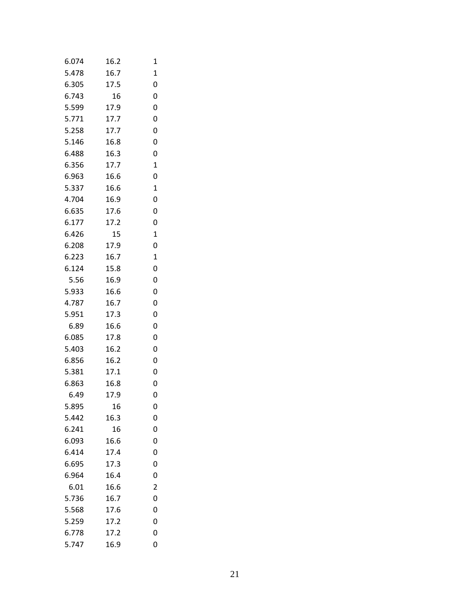| 6.074 | 16.2 | 1           |
|-------|------|-------------|
| 5.478 | 16.7 | $\mathbf 1$ |
| 6.305 | 17.5 | 0           |
| 6.743 | 16   | 0           |
| 5.599 | 17.9 | 0           |
| 5.771 | 17.7 | 0           |
| 5.258 | 17.7 | 0           |
| 5.146 | 16.8 | 0           |
| 6.488 | 16.3 | 0           |
| 6.356 | 17.7 | 1           |
| 6.963 | 16.6 | 0           |
| 5.337 | 16.6 | $\mathbf 1$ |
| 4.704 | 16.9 | 0           |
| 6.635 | 17.6 | 0           |
| 6.177 | 17.2 | 0           |
| 6.426 | 15   | $\mathbf 1$ |
| 6.208 | 17.9 | 0           |
| 6.223 | 16.7 | 1           |
| 6.124 | 15.8 | 0           |
| 5.56  | 16.9 | 0           |
| 5.933 | 16.6 | 0           |
| 4.787 | 16.7 | 0           |
| 5.951 | 17.3 | 0           |
| 6.89  | 16.6 | 0           |
| 6.085 | 17.8 | 0           |
| 5.403 | 16.2 | 0           |
| 6.856 | 16.2 | 0           |
| 5.381 | 17.1 | 0           |
| 6.863 | 16.8 | 0           |
| 6.49  | 17.9 | 0           |
| 5.895 | 16   | 0           |
| 5.442 | 16.3 | 0           |
| 6.241 | 16   | 0           |
| 6.093 | 16.6 | 0           |
| 6.414 | 17.4 | 0           |
| 6.695 | 17.3 | 0           |
| 6.964 | 16.4 | 0           |
| 6.01  | 16.6 | 2           |
| 5.736 | 16.7 | 0           |
| 5.568 | 17.6 | 0           |
| 5.259 | 17.2 | 0           |
| 6.778 | 17.2 | 0           |
| 5.747 | 16.9 | 0           |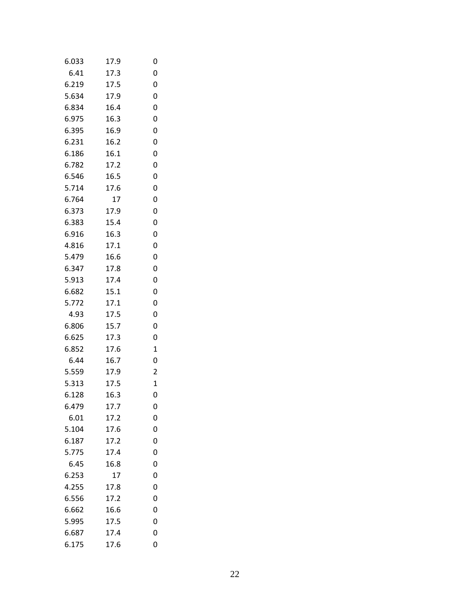| 6.033 | 17.9 | 0            |
|-------|------|--------------|
| 6.41  | 17.3 | 0            |
| 6.219 | 17.5 | 0            |
| 5.634 | 17.9 | 0            |
| 6.834 | 16.4 | 0            |
| 6.975 | 16.3 | 0            |
| 6.395 | 16.9 | 0            |
| 6.231 | 16.2 | 0            |
| 6.186 | 16.1 | 0            |
| 6.782 | 17.2 | 0            |
| 6.546 | 16.5 | 0            |
| 5.714 | 17.6 | 0            |
| 6.764 | 17   | 0            |
| 6.373 | 17.9 | 0            |
| 6.383 | 15.4 | 0            |
| 6.916 | 16.3 | 0            |
| 4.816 | 17.1 | 0            |
| 5.479 | 16.6 | 0            |
| 6.347 | 17.8 | 0            |
| 5.913 | 17.4 | 0            |
| 6.682 | 15.1 | 0            |
| 5.772 | 17.1 | 0            |
| 4.93  | 17.5 | 0            |
| 6.806 | 15.7 | 0            |
| 6.625 | 17.3 | 0            |
| 6.852 | 17.6 | 1            |
| 6.44  | 16.7 | 0            |
| 5.559 | 17.9 | 2            |
| 5.313 | 17.5 | $\mathbf{1}$ |
| 6.128 | 16.3 | 0            |
| 6.479 | 17.7 | 0            |
| 6.01  | 17.2 | 0            |
| 5.104 | 17.6 | 0            |
| 6.187 | 17.2 | 0            |
| 5.775 | 17.4 | 0            |
| 6.45  | 16.8 | 0            |
| 6.253 | 17   | 0            |
| 4.255 | 17.8 | 0            |
| 6.556 | 17.2 | 0            |
| 6.662 | 16.6 | 0            |
| 5.995 | 17.5 | 0            |
| 6.687 | 17.4 | 0            |
| 6.175 | 17.6 | 0            |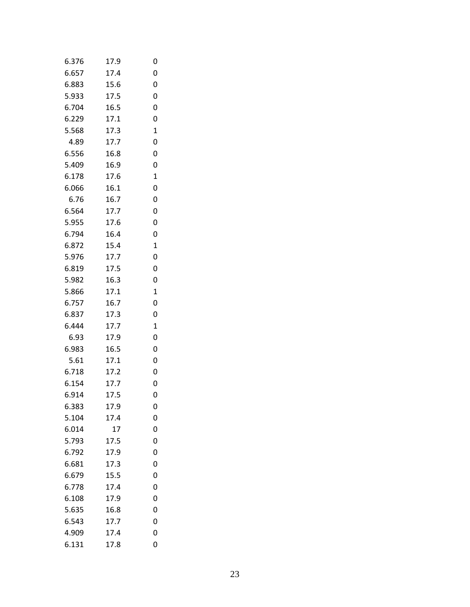| 6.376 | 17.9 | 0           |
|-------|------|-------------|
| 6.657 | 17.4 | 0           |
| 6.883 | 15.6 | 0           |
| 5.933 | 17.5 | 0           |
| 6.704 | 16.5 | 0           |
| 6.229 | 17.1 | 0           |
| 5.568 | 17.3 | $\mathbf 1$ |
| 4.89  | 17.7 | 0           |
| 6.556 | 16.8 | 0           |
| 5.409 | 16.9 | 0           |
| 6.178 | 17.6 | $\mathbf 1$ |
| 6.066 | 16.1 | 0           |
| 6.76  | 16.7 | 0           |
| 6.564 | 17.7 | 0           |
| 5.955 | 17.6 | 0           |
| 6.794 | 16.4 | 0           |
| 6.872 | 15.4 | $\mathbf 1$ |
| 5.976 | 17.7 | 0           |
| 6.819 | 17.5 | 0           |
| 5.982 | 16.3 | 0           |
| 5.866 | 17.1 | $\mathbf 1$ |
| 6.757 | 16.7 | 0           |
| 6.837 | 17.3 | 0           |
| 6.444 | 17.7 | $\mathbf 1$ |
| 6.93  | 17.9 | 0           |
| 6.983 | 16.5 | 0           |
| 5.61  | 17.1 | 0           |
| 6.718 | 17.2 | 0           |
| 6.154 | 17.7 | 0           |
| 6.914 | 17.5 | 0           |
| 6.383 | 17.9 | 0           |
| 5.104 | 17.4 | 0           |
| 6.014 | 17   | 0           |
| 5.793 | 17.5 | 0           |
| 6.792 | 17.9 | 0           |
| 6.681 | 17.3 | 0           |
| 6.679 | 15.5 | 0           |
| 6.778 | 17.4 | 0           |
| 6.108 | 17.9 | 0           |
| 5.635 | 16.8 | 0           |
| 6.543 | 17.7 | 0           |
| 4.909 | 17.4 | 0           |
| 6.131 | 17.8 | 0           |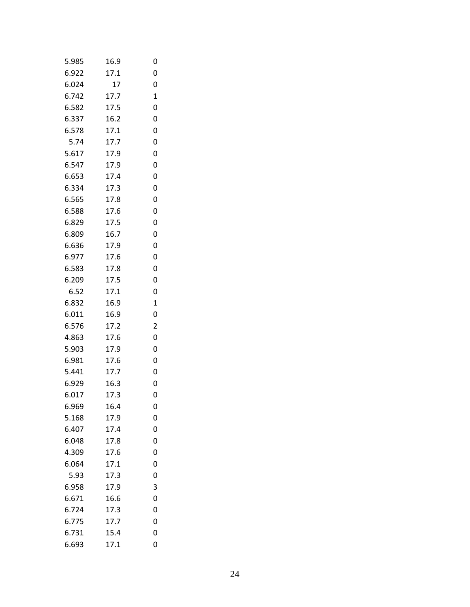| 5.985 | 16.9 | 0 |
|-------|------|---|
| 6.922 | 17.1 | 0 |
| 6.024 | 17   | 0 |
| 6.742 | 17.7 | 1 |
| 6.582 | 17.5 | 0 |
| 6.337 | 16.2 | 0 |
| 6.578 | 17.1 | 0 |
| 5.74  | 17.7 | 0 |
| 5.617 | 17.9 | 0 |
| 6.547 | 17.9 | 0 |
| 6.653 | 17.4 | 0 |
| 6.334 | 17.3 | 0 |
| 6.565 | 17.8 | 0 |
| 6.588 | 17.6 | 0 |
| 6.829 | 17.5 | 0 |
| 6.809 | 16.7 | 0 |
| 6.636 | 17.9 | 0 |
| 6.977 | 17.6 | 0 |
| 6.583 | 17.8 | 0 |
| 6.209 | 17.5 | 0 |
| 6.52  | 17.1 | 0 |
| 6.832 | 16.9 | 1 |
| 6.011 | 16.9 | 0 |
| 6.576 | 17.2 | 2 |
| 4.863 | 17.6 | 0 |
| 5.903 | 17.9 | 0 |
| 6.981 | 17.6 | 0 |
| 5.441 | 17.7 | 0 |
| 6.929 | 16.3 | 0 |
| 6.017 | 17.3 | 0 |
| 6.969 | 16.4 | 0 |
| 5.168 | 17.9 | 0 |
| 6.407 | 17.4 | 0 |
| 6.048 | 17.8 | 0 |
| 4.309 | 17.6 | 0 |
| 6.064 | 17.1 | 0 |
| 5.93  | 17.3 | 0 |
| 6.958 | 17.9 | 3 |
| 6.671 | 16.6 | 0 |
| 6.724 | 17.3 | 0 |
| 6.775 | 17.7 | 0 |
| 6.731 | 15.4 | 0 |
| 6.693 | 17.1 | 0 |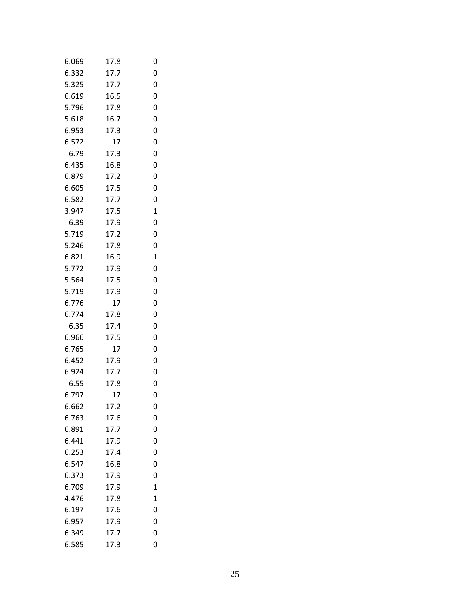| 6.069 | 17.8 | 0            |
|-------|------|--------------|
| 6.332 | 17.7 | 0            |
| 5.325 | 17.7 | 0            |
| 6.619 | 16.5 | 0            |
| 5.796 | 17.8 | 0            |
| 5.618 | 16.7 | 0            |
| 6.953 | 17.3 | 0            |
| 6.572 | 17   | 0            |
| 6.79  | 17.3 | 0            |
| 6.435 | 16.8 | 0            |
| 6.879 | 17.2 | 0            |
| 6.605 | 17.5 | 0            |
| 6.582 | 17.7 | 0            |
| 3.947 | 17.5 | 1            |
| 6.39  | 17.9 | 0            |
| 5.719 | 17.2 | 0            |
| 5.246 | 17.8 | 0            |
| 6.821 | 16.9 | $\mathbf 1$  |
| 5.772 | 17.9 | 0            |
| 5.564 | 17.5 | 0            |
| 5.719 | 17.9 | 0            |
| 6.776 | 17   | 0            |
| 6.774 | 17.8 | 0            |
| 6.35  | 17.4 | 0            |
| 6.966 | 17.5 | 0            |
| 6.765 | 17   | 0            |
| 6.452 | 17.9 | 0            |
| 6.924 | 17.7 | 0            |
| 6.55  | 17.8 | 0            |
| 6.797 | 17   | 0            |
| 6.662 | 17.2 | 0            |
| 6.763 | 17.6 | 0            |
| 6.891 | 17.7 | 0            |
| 6.441 | 17.9 | 0            |
| 6.253 | 17.4 | 0            |
| 6.547 | 16.8 | 0            |
| 6.373 | 17.9 | 0            |
| 6.709 | 17.9 | 1            |
| 4.476 | 17.8 | $\mathbf{1}$ |
| 6.197 | 17.6 | 0            |
| 6.957 | 17.9 | 0            |
| 6.349 | 17.7 | 0            |
| 6.585 | 17.3 | 0            |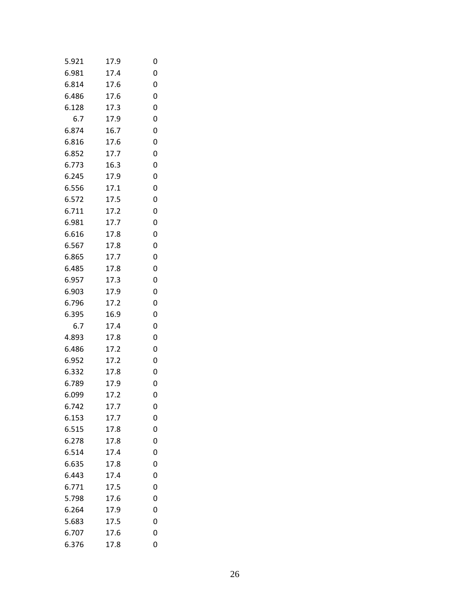| 5.921 | 17.9 | 0 |
|-------|------|---|
| 6.981 | 17.4 | 0 |
| 6.814 | 17.6 | 0 |
| 6.486 | 17.6 | 0 |
| 6.128 | 17.3 | 0 |
| 6.7   | 17.9 | 0 |
| 6.874 | 16.7 | 0 |
| 6.816 | 17.6 | 0 |
| 6.852 | 17.7 | 0 |
| 6.773 | 16.3 | 0 |
| 6.245 | 17.9 | 0 |
| 6.556 | 17.1 | 0 |
| 6.572 | 17.5 | 0 |
| 6.711 | 17.2 | 0 |
| 6.981 | 17.7 | 0 |
| 6.616 | 17.8 | 0 |
| 6.567 | 17.8 | 0 |
| 6.865 | 17.7 | 0 |
| 6.485 | 17.8 | 0 |
| 6.957 | 17.3 | 0 |
| 6.903 | 17.9 | 0 |
| 6.796 | 17.2 | 0 |
| 6.395 | 16.9 | 0 |
| 6.7   | 17.4 | 0 |
| 4.893 | 17.8 | 0 |
| 6.486 | 17.2 | 0 |
| 6.952 | 17.2 | 0 |
| 6.332 | 17.8 | 0 |
| 6.789 | 17.9 | 0 |
| 6.099 | 17.2 | 0 |
| 6.742 | 17.7 | 0 |
| 6.153 | 17.7 | 0 |
| 6.515 | 17.8 | 0 |
| 6.278 | 17.8 | 0 |
| 6.514 | 17.4 | 0 |
| 6.635 | 17.8 | 0 |
| 6.443 | 17.4 | 0 |
| 6.771 | 17.5 | 0 |
| 5.798 | 17.6 | 0 |
| 6.264 | 17.9 | 0 |
| 5.683 | 17.5 | 0 |
| 6.707 | 17.6 | 0 |
| 6.376 | 17.8 | 0 |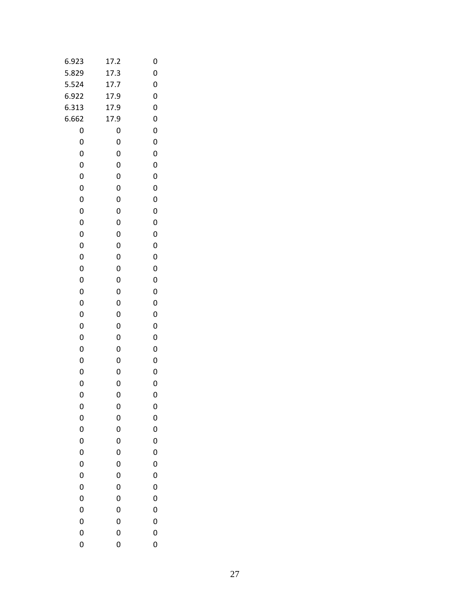| 6.923        | 17.2         | 0            |
|--------------|--------------|--------------|
| 5.829        | 17.3         | $\mathbf{0}$ |
| 5.524        | 17.7         | $\mathbf{0}$ |
| 6.922        | 17.9         | $\mathbf{0}$ |
| 6.313        | 17.9         | $\mathbf{0}$ |
| 6.662        | 17.9         | $\mathbf{0}$ |
| $\mathbf{0}$ | $\mathbf{0}$ | $\mathbf{0}$ |
| $\mathbf{0}$ | $\mathbf{0}$ | $\mathbf{0}$ |
| 0            | 0            | 0            |
| $\mathbf{0}$ | $\mathbf{0}$ | $\mathbf{0}$ |
| 0            | 0            | $\mathbf{0}$ |
| $\mathbf{0}$ | 0            | $\mathbf{0}$ |
| 0            | 0            | 0            |
| $\mathbf{0}$ | 0            | $\mathbf{0}$ |
| 0            | 0            | $\mathbf{0}$ |
| $\mathbf{0}$ | 0            | $\mathbf{0}$ |
| 0            | 0            | 0            |
| $\mathbf{0}$ | 0            | $\mathbf{0}$ |
| 0            | 0            | $\mathbf{0}$ |
| $\mathbf{0}$ | 0            | $\mathbf{0}$ |
| $\mathbf{0}$ | 0            | 0            |
| $\mathbf{0}$ | 0            | $\mathbf{0}$ |
| 0            | 0            | $\mathbf{0}$ |
| $\mathbf{0}$ | 0            | $\mathbf{0}$ |
| 0            | 0            | 0            |
| $\mathbf{0}$ | 0            | $\mathbf{0}$ |
| 0            | 0            | 0            |
| $\mathbf{0}$ | $\mathbf{0}$ | $\mathbf{0}$ |
| $\mathbf{0}$ | $\mathbf{0}$ | 0            |
| $\mathbf{0}$ | $\mathbf{0}$ | $\mathbf{0}$ |
| 0            | $\mathbf{0}$ | 0            |
| $\mathbf{0}$ | $\mathbf{0}$ | $\mathbf{0}$ |
| $\mathbf{0}$ | 0            | 0            |
| $\mathbf{0}$ | 0            | $\mathbf{0}$ |
| $\mathbf{0}$ | 0            | 0            |
| $\mathbf{0}$ | $\mathbf{0}$ | $\mathbf{0}$ |
| $\mathbf{0}$ | $\mathbf{0}$ | 0            |
| $\mathbf{0}$ | 0            | $\mathbf{0}$ |
| $\mathbf{0}$ | $\mathbf{0}$ | 0            |
| $\mathbf{0}$ | $\mathbf{0}$ | $\mathbf{0}$ |
| $\mathbf{0}$ | $\mathbf{0}$ | 0            |
| $\mathbf{0}$ | $\mathbf{0}$ | $\mathbf{0}$ |
| $\mathbf{0}$ | $\mathbf{0}$ | $\mathbf 0$  |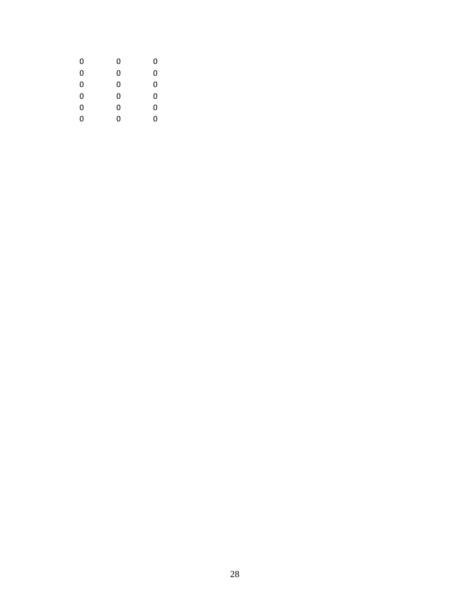| 0 | 0 | 0 |  |
|---|---|---|--|
| 0 | 0 | 0 |  |
| 0 | 0 | 0 |  |
| 0 | 0 | 0 |  |
| 0 | 0 | 0 |  |
| ი | 0 | O |  |